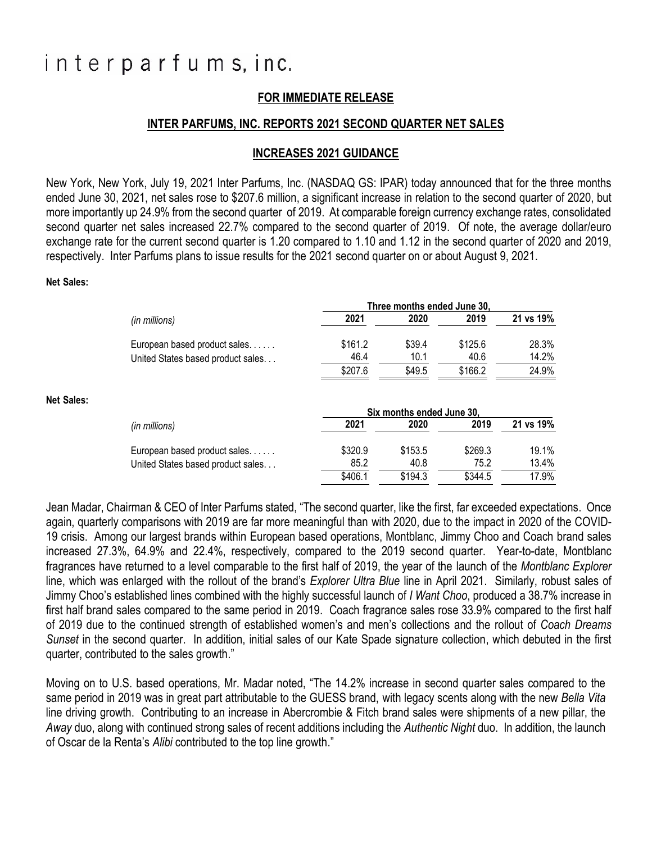# interparfums, inc.

## **FOR IMMEDIATE RELEASE**

### **INTER PARFUMS, INC. REPORTS 2021 SECOND QUARTER NET SALES**

### **INCREASES 2021 GUIDANCE**

New York, New York, July 19, 2021 Inter Parfums, Inc. (NASDAQ GS: IPAR) today announced that for the three months ended June 30, 2021, net sales rose to \$207.6 million, a significant increase in relation to the second quarter of 2020, but more importantly up 24.9% from the second quarter of 2019. At comparable foreign currency exchange rates, consolidated second quarter net sales increased 22.7% compared to the second quarter of 2019. Of note, the average dollar/euro exchange rate for the current second quarter is 1.20 compared to 1.10 and 1.12 in the second quarter of 2020 and 2019, respectively. Inter Parfums plans to issue results for the 2021 second quarter on or about August 9, 2021.

### **Net Sales:**

**Net Sales:**

| Three months ended June 30. |                           |         |           |
|-----------------------------|---------------------------|---------|-----------|
| 2021                        | 2020                      | 2019    | 21 vs 19% |
| \$161.2                     | \$39.4                    | \$125.6 | 28.3%     |
| 46.4                        | 10.1                      | 40.6    | 14.2%     |
|                             |                           |         | 24.9%     |
|                             |                           |         |           |
|                             | Six months ended June 30. |         |           |
| 2021                        | 2020                      | 2019    | 21 vs 19% |
| \$320.9                     | \$153.5                   | \$269.3 | 19.1%     |
| 85.2                        | 40.8                      | 75.2    | 13.4%     |
|                             | \$207.6                   | \$49.5  | \$166.2   |

Jean Madar, Chairman & CEO of Inter Parfums stated, "The second quarter, like the first, far exceeded expectations. Once again, quarterly comparisons with 2019 are far more meaningful than with 2020, due to the impact in 2020 of the COVID-19 crisis. Among our largest brands within European based operations, Montblanc, Jimmy Choo and Coach brand sales increased 27.3%, 64.9% and 22.4%, respectively, compared to the 2019 second quarter. Year-to-date, Montblanc fragrances have returned to a level comparable to the first half of 2019, the year of the launch of the *Montblanc Explorer* line, which was enlarged with the rollout of the brand's *Explorer Ultra Blue* line in April 2021. Similarly, robust sales of Jimmy Choo's established lines combined with the highly successful launch of *I Want Choo*, produced a 38.7% increase in first half brand sales compared to the same period in 2019. Coach fragrance sales rose 33.9% compared to the first half of 2019 due to the continued strength of established women's and men's collections and the rollout of *Coach Dreams Sunset* in the second quarter. In addition, initial sales of our Kate Spade signature collection, which debuted in the first quarter, contributed to the sales growth."

Moving on to U.S. based operations, Mr. Madar noted, "The 14.2% increase in second quarter sales compared to the same period in 2019 was in great part attributable to the GUESS brand, with legacy scents along with the new *Bella Vita* line driving growth. Contributing to an increase in Abercrombie & Fitch brand sales were shipments of a new pillar, the *Away* duo, along with continued strong sales of recent additions including the *Authentic Night* duo. In addition, the launch of Oscar de la Renta's *Alibi* contributed to the top line growth."